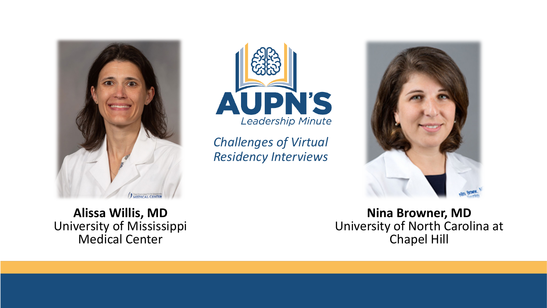



*Challenges of Virtual Residency Interviews* 



**Alissa Willis, MD**  University of Mississippi Medical Center

**Nina Browner, MD** University of North Carolina at Chapel Hill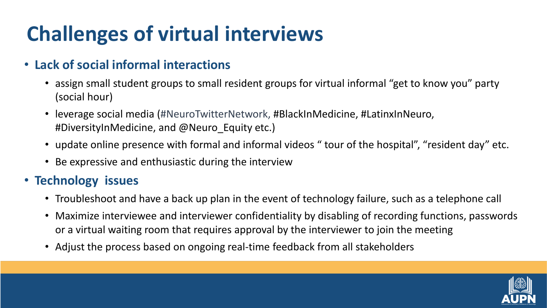# **Challenges of virtual interviews**

#### • **Lack of social informal interactions**

- assign small student groups to small resident groups for virtual informal "get to know you" party (social hour)
- leverage social media (#NeuroTwitterNetwork, #BlackInMedicine, #LatinxInNeuro, #DiversityInMedicine, and @Neuro\_Equity etc.)
- update online presence with formal and informal videos " tour of the hospital", "resident day" etc.
- Be expressive and enthusiastic during the interview

#### • **Technology issues**

- Troubleshoot and have a back up plan in the event of technology failure, such as a telephone call
- Maximize interviewee and interviewer confidentiality by disabling of recording functions, passwords or a virtual waiting room that requires approval by the interviewer to join the meeting
- Adjust the process based on ongoing real-time feedback from all stakeholders

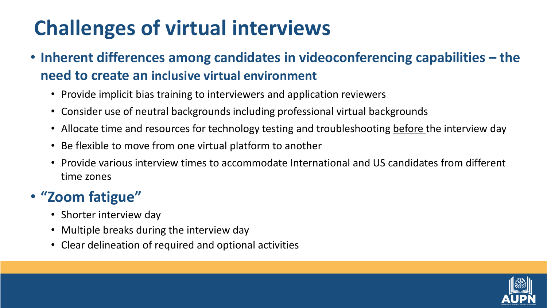## **Challenges of virtual interviews**

- **Inherent differences among candidates in videoconferencing capabilities – the need to create an inclusive virtual environment** 
	- Provide implicit bias training to interviewers and application reviewers
	- Consider use of neutral backgrounds including professional virtual backgrounds
	- Allocate time and resources for technology testing and troubleshooting before the interview day
	- Be flexible to move from one virtual platform to another
	- Provide various interview times to accommodate International and US candidates from different time zones

### • **"Zoom fatigue"**

- Shorter interview day
- Multiple breaks during the interview day
- Clear delineation of required and optional activities